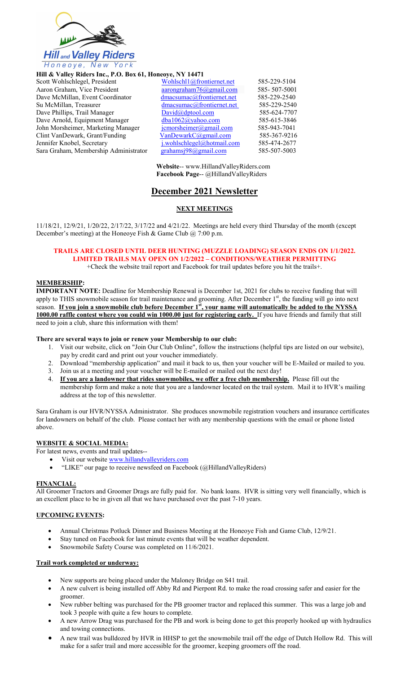

#### Hill & Valley Riders Inc., P.O. Box 61, Honeoye, NY 14471

| Scott Wohlschlegel, President         |
|---------------------------------------|
| Aaron Graham, Vice President          |
| Dave McMillan, Event Coordinator      |
| Su McMillan, Treasurer                |
| Dave Phillips, Trail Manager          |
| Dave Arnold, Equipment Manager        |
| John Morsheimer, Marketing Manager    |
| Clint VanDewark, Grant/Funding        |
| Jennifer Knobel, Secretary            |
| Sara Graham, Membership Administrator |
|                                       |

| Scott Wohlschlegel, President         | Wohlschl1@frontiernet.net        | 585-229-5104 |  |
|---------------------------------------|----------------------------------|--------------|--|
| Aaron Graham, Vice President          | aarongraham $76$ @gmail.com      | 585-507-5001 |  |
| Dave McMillan, Event Coordinator      | dmacsumac@frontiernet.net        | 585-229-2540 |  |
| Su McMillan, Treasurer                | $d$ macsumac@frontiernet.net     | 585-229-2540 |  |
| Dave Phillips, Trail Manager          | David@dptool.com                 | 585-624-7707 |  |
| Dave Arnold, Equipment Manager        | dba1062@yahoo.com                | 585-615-3846 |  |
| John Morsheimer, Marketing Manager    | $i$ cmorsheimer@gmail.com        | 585-943-7041 |  |
| Clint VanDewark, Grant/Funding        | $VanDewarkC(\partial gmail.com)$ | 585-367-9216 |  |
| Jennifer Knobel, Secretary            | $i$ .wohlschlegel@hotmail.com    | 585-474-2677 |  |
| Sara Graham, Membership Administrator | grahamsj98@gmail.com             | 585-507-5003 |  |

Website-- www.HillandValleyRiders.com Facebook Page-- @HillandValleyRiders

# December 2021 Newsletter

# NEXT MEETINGS

11/18/21, 12/9/21, 1/20/22, 2/17/22, 3/17/22 and 4/21/22. Meetings are held every third Thursday of the month (except December's meeting) at the Honeoye Fish & Game Club @ 7:00 p.m.

#### TRAILS ARE CLOSED UNTIL DEER HUNTING (MUZZLE LOADING) SEASON ENDS ON 1/1/2022. LIMITED TRAILS MAY OPEN ON 1/2/2022 – CONDITIONS/WEATHER PERMITTING +Check the website trail report and Facebook for trail updates before you hit the trails+.

#### MEMBERSHIP:

IMPORTANT NOTE: Deadline for Membership Renewal is December 1st, 2021 for clubs to receive funding that will apply to THIS snowmobile season for trail maintenance and grooming. After December  $1<sup>st</sup>$ , the funding will go into next season. If you join a snowmobile club before December 1st, your name will automatically be added to the NYSSA 1000.00 raffle contest where you could win 1000.00 just for registering early. If you have friends and family that still need to join a club, share this information with them!

#### There are several ways to join or renew your Membership to our club:

- 1. Visit our website, click on "Join Our Club Online", follow the instructions (helpful tips are listed on our website), pay by credit card and print out your voucher immediately.
- 2. Download "membership application" and mail it back to us, then your voucher will be E-Mailed or mailed to you.
- 3. Join us at a meeting and your voucher will be E-mailed or mailed out the next day!
- 4. If you are a landowner that rides snowmobiles, we offer a free club membership. Please fill out the membership form and make a note that you are a landowner located on the trail system. Mail it to HVR's mailing address at the top of this newsletter.

Sara Graham is our HVR/NYSSA Administrator. She produces snowmobile registration vouchers and insurance certificates for landowners on behalf of the club. Please contact her with any membership questions with the email or phone listed above.

# WEBSITE & SOCIAL MEDIA:

For latest news, events and trail updates--

- Visit our website www.hillandvalleyriders.com
- "LIKE" our page to receive newsfeed on Facebook (@HillandValleyRiders)

#### FINANCIAL:

All Groomer Tractors and Groomer Drags are fully paid for. No bank loans. HVR is sitting very well financially, which is an excellent place to be in given all that we have purchased over the past 7-10 years.

#### UPCOMING EVENTS:

- Annual Christmas Potluck Dinner and Business Meeting at the Honeoye Fish and Game Club, 12/9/21.
- Stay tuned on Facebook for last minute events that will be weather dependent.
- Snowmobile Safety Course was completed on 11/6/2021.

#### Trail work completed or underway:

- New supports are being placed under the Maloney Bridge on S41 trail.
- A new culvert is being installed off Abby Rd and Pierpont Rd. to make the road crossing safer and easier for the groomer.
- New rubber belting was purchased for the PB groomer tractor and replaced this summer. This was a large job and took 3 people with quite a few hours to complete.
- A new Arrow Drag was purchased for the PB and work is being done to get this properly hooked up with hydraulics and towing connections.
- A new trail was bulldozed by HVR in HHSP to get the snowmobile trail off the edge of Dutch Hollow Rd. This will make for a safer trail and more accessible for the groomer, keeping groomers off the road.